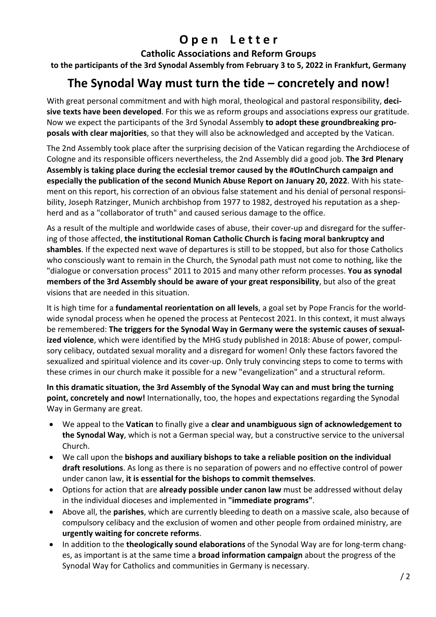## **Open Letter**

**Catholic Associations and Reform Groups** 

**to the participants of the 3rd Synodal Assembly from February 3 to 5, 2022 in Frankfurt, Germany** 

## **The Synodal Way must turn the tide – concretely and now!**

With great personal commitment and with high moral, theological and pastoral responsibility, **deci‐ sive texts have been developed**. For this we as reform groups and associations express our gratitude. Now we expect the participants of the 3rd Synodal Assembly **to adopt these groundbreaking pro‐ posals with clear majorities**, so that they will also be acknowledged and accepted by the Vatican.

The 2nd Assembly took place after the surprising decision of the Vatican regarding the Archdiocese of Cologne and its responsible officers nevertheless, the 2nd Assembly did a good job. **The 3rd Plenary Assembly is taking place during the ecclesial tremor caused by the #OutInChurch campaign and especially the publication of the second Munich Abuse Report on January 20, 2022**. With his state‐ ment on this report, his correction of an obvious false statement and his denial of personal responsibility, Joseph Ratzinger, Munich archbishop from 1977 to 1982, destroyed his reputation as a shep‐ herd and as a "collaborator of truth" and caused serious damage to the office.

As a result of the multiple and worldwide cases of abuse, their cover‐up and disregard for the suffer‐ ing of those affected, **the institutional Roman Catholic Church is facing moral bankruptcy and shambles**. If the expected next wave of departures is still to be stopped, but also for those Catholics who consciously want to remain in the Church, the Synodal path must not come to nothing, like the "dialogue or conversation process" 2011 to 2015 and many other reform processes. **You as synodal members of the 3rd Assembly should be aware of your great responsibility**, but also of the great visions that are needed in this situation.

It is high time for a **fundamental reorientation on all levels**, a goal set by Pope Francis for the world‐ wide synodal process when he opened the process at Pentecost 2021. In this context, it must always be remembered: **The triggers for the Synodal Way in Germany were the systemic causes of sexual‐ ized violence**, which were identified by the MHG study published in 2018: Abuse of power, compul‐ sory celibacy, outdated sexual morality and a disregard for women! Only these factors favored the sexualized and spiritual violence and its cover‐up. Only truly convincing steps to come to terms with these crimes in our church make it possible for a new "evangelization" and a structural reform.

**In this dramatic situation, the 3rd Assembly of the Synodal Way can and must bring the turning point, concretely and now!** Internationally, too, the hopes and expectations regarding the Synodal Way in Germany are great.

- We appeal to the **Vatican** to finally give a **clear and unambiguous sign of acknowledgement to the Synodal Way**, which is not a German special way, but a constructive service to the universal Church.
- We call upon the **bishops and auxiliary bishops to take a reliable position on the individual draft resolutions**. As long as there is no separation of powers and no effective control of power under canon law, **it is essential for the bishops to commit themselves**.
- Options for action that are **already possible under canon law** must be addressed without delay in the individual dioceses and implemented in **"immediate programs"**.
- Above all, the **parishes**, which are currently bleeding to death on a massive scale, also because of compulsory celibacy and the exclusion of women and other people from ordained ministry, are **urgently waiting for concrete reforms**.
- In addition to the **theologically sound elaborations** of the Synodal Way are for long-term changes, as important is at the same time a **broad information campaign** about the progress of the Synodal Way for Catholics and communities in Germany is necessary.